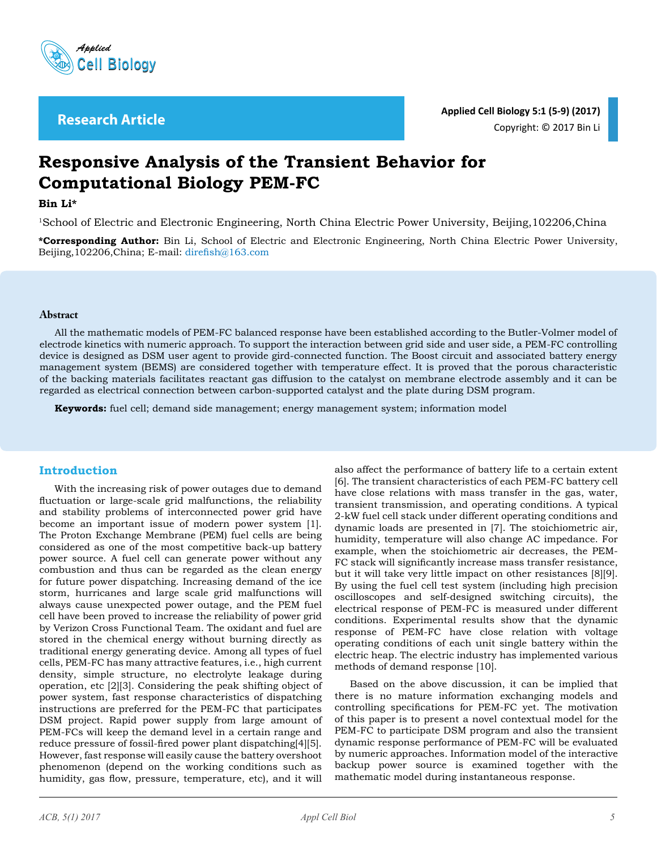

# **Responsive Analysis of the Transient Behavior for Computational Biology PEM-FC**

#### **Bin Li\***

1School of Electric and Electronic Engineering, North China Electric Power University, Beijing,102206,China

**\*Corresponding Author:** Bin Li, School of Electric and Electronic Engineering, North China Electric Power University, Beijing,102206,China; E-mail: direfish@163.com

#### **Abstract**

All the mathematic models of PEM-FC balanced response have been established according to the Butler-Volmer model of electrode kinetics with numeric approach. To support the interaction between grid side and user side, a PEM-FC controlling device is designed as DSM user agent to provide gird-connected function. The Boost circuit and associated battery energy management system (BEMS) are considered together with temperature effect. It is proved that the porous characteristic of the backing materials facilitates reactant gas diffusion to the catalyst on membrane electrode assembly and it can be regarded as electrical connection between carbon-supported catalyst and the plate during DSM program.

**Keywords:** fuel cell; demand side management; energy management system; information model

### **Introduction**

With the increasing risk of power outages due to demand fluctuation or large-scale grid malfunctions, the reliability and stability problems of interconnected power grid have become an important issue of modern power system [1]. The Proton Exchange Membrane (PEM) fuel cells are being considered as one of the most competitive back-up battery power source. A fuel cell can generate power without any combustion and thus can be regarded as the clean energy for future power dispatching. Increasing demand of the ice storm, hurricanes and large scale grid malfunctions will always cause unexpected power outage, and the PEM fuel cell have been proved to increase the reliability of power grid by Verizon Cross Functional Team. The oxidant and fuel are stored in the chemical energy without burning directly as traditional energy generating device. Among all types of fuel cells, PEM-FC has many attractive features, i.e., high current density, simple structure, no electrolyte leakage during operation, etc [2][3]. Considering the peak shifting object of power system, fast response characteristics of dispatching instructions are preferred for the PEM-FC that participates DSM project. Rapid power supply from large amount of PEM-FCs will keep the demand level in a certain range and reduce pressure of fossil-fired power plant dispatching[4][5]. However, fast response will easily cause the battery overshoot phenomenon (depend on the working conditions such as humidity, gas flow, pressure, temperature, etc), and it will

also affect the performance of battery life to a certain extent [6]. The transient characteristics of each PEM-FC battery cell have close relations with mass transfer in the gas, water, transient transmission, and operating conditions. A typical 2-kW fuel cell stack under different operating conditions and dynamic loads are presented in [7]. The stoichiometric air, humidity, temperature will also change AC impedance. For example, when the stoichiometric air decreases, the PEM-FC stack will significantly increase mass transfer resistance, but it will take very little impact on other resistances [8][9]. By using the fuel cell test system (including high precision oscilloscopes and self-designed switching circuits), the electrical response of PEM-FC is measured under different conditions. Experimental results show that the dynamic response of PEM-FC have close relation with voltage operating conditions of each unit single battery within the electric heap. The electric industry has implemented various methods of demand response [10].

Based on the above discussion, it can be implied that there is no mature information exchanging models and controlling specifications for PEM-FC yet. The motivation of this paper is to present a novel contextual model for the PEM-FC to participate DSM program and also the transient dynamic response performance of PEM-FC will be evaluated by numeric approaches. Information model of the interactive backup power source is examined together with the mathematic model during instantaneous response.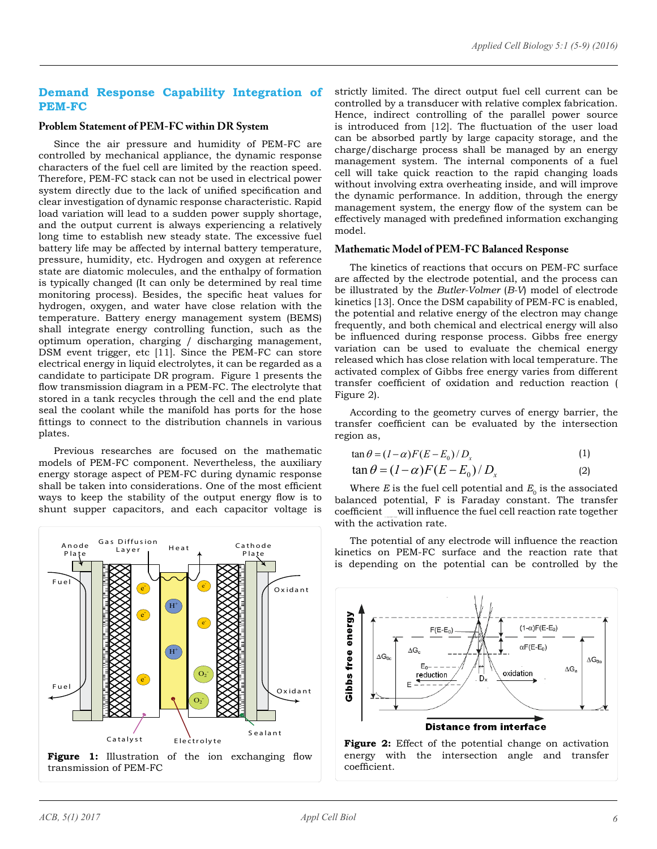# **Demand Response Capability Integration of PEM-FC**

#### **Problem Statement of PEM-FC within DR System**

Since the air pressure and humidity of PEM-FC are controlled by mechanical appliance, the dynamic response characters of the fuel cell are limited by the reaction speed. Therefore, PEM-FC stack can not be used in electrical power system directly due to the lack of unified specification and clear investigation of dynamic response characteristic. Rapid load variation will lead to a sudden power supply shortage, and the output current is always experiencing a relatively long time to establish new steady state. The excessive fuel battery life may be affected by internal battery temperature, pressure, humidity, etc. Hydrogen and oxygen at reference state are diatomic molecules, and the enthalpy of formation is typically changed (It can only be determined by real time monitoring process). Besides, the specific heat values for hydrogen, oxygen, and water have close relation with the temperature. Battery energy management system (BEMS) shall integrate energy controlling function, such as the optimum operation, charging / discharging management, DSM event trigger, etc [11]. Since the PEM-FC can store electrical energy in liquid electrolytes, it can be regarded as a candidate to participate DR program. Figure 1 presents the flow transmission diagram in a PEM-FC. The electrolyte that stored in a tank recycles through the cell and the end plate seal the coolant while the manifold has ports for the hose fittings to connect to the distribution channels in various plates.

Previous researches are focused on the mathematic models of PEM-FC component. Nevertheless, the auxiliary energy storage aspect of PEM-FC during dynamic response shall be taken into considerations. One of the most efficient ways to keep the stability of the output energy flow is to shunt supper capacitors, and each capacitor voltage is



strictly limited. The direct output fuel cell current can be controlled by a transducer with relative complex fabrication. Hence, indirect controlling of the parallel power source is introduced from [12]. The fluctuation of the user load can be absorbed partly by large capacity storage, and the charge/discharge process shall be managed by an energy management system. The internal components of a fuel cell will take quick reaction to the rapid changing loads without involving extra overheating inside, and will improve the dynamic performance. In addition, through the energy management system, the energy flow of the system can be effectively managed with predefined information exchanging model.

#### **Mathematic Model of PEM-FC Balanced Response**

The kinetics of reactions that occurs on PEM-FC surface are affected by the electrode potential, and the process can be illustrated by the *Butler-Volmer* (*B-V*) model of electrode kinetics [13]. Once the DSM capability of PEM-FC is enabled, the potential and relative energy of the electron may change frequently, and both chemical and electrical energy will also be influenced during response process. Gibbs free energy variation can be used to evaluate the chemical energy released which has close relation with local temperature. The activated complex of Gibbs free energy varies from different transfer coefficient of oxidation and reduction reaction ( Figure 2).

According to the geometry curves of energy barrier, the transfer coefficient can be evaluated by the intersection region as,

$$
\tan \theta = (I - \alpha)F(E - E_0) / D_x \tag{1}
$$

$$
\tan \theta = (I - \alpha)F(E - E_0) / D_x \tag{2}
$$

Where  $E$  is the fuel cell potential and  $E_0$  is the associated balanced potential, F is Faraday constant. The transfer coefficient will influence the fuel cell reaction rate together with the activation rate.

The potential of any electrode will influence the reaction kinetics on PEM-FC surface and the reaction rate that is depending on the potential can be controlled by the



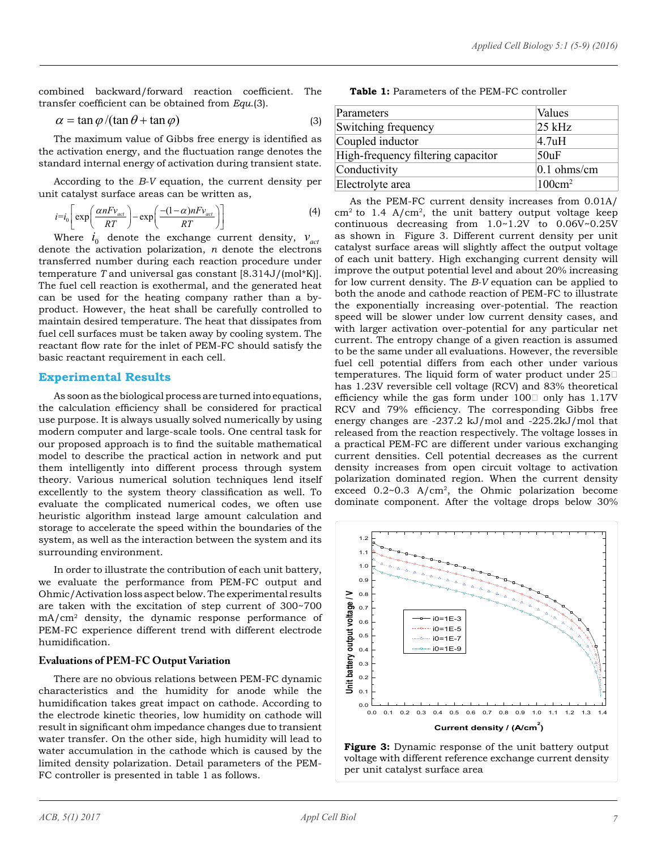combined backward/forward reaction coefficient. The transfer coefficient can be obtained from *Equ*.(3).

$$
\alpha = \tan \varphi / (\tan \theta + \tan \varphi) \tag{3}
$$

The maximum value of Gibbs free energy is identified as the activation energy, and the fluctuation range denotes the standard internal energy of activation during transient state.

According to the *B-V* equation, the current density per unit catalyst surface areas can be written as,

$$
i = i_0 \left[ \exp\left(\frac{\alpha n F v_{act}}{RT}\right) - \exp\left(\frac{-(1-\alpha)n F v_{act}}{RT}\right) \right]
$$
 (4)

Where  $i_0$  denote the exchange current density,  $v_{act}$ denote the activation polarization, *n* denote the electrons transferred number during each reaction procedure under temperature *T* and universal gas constant [8.314J/(mol\*K)]. The fuel cell reaction is exothermal, and the generated heat can be used for the heating company rather than a byproduct. However, the heat shall be carefully controlled to maintain desired temperature. The heat that dissipates from fuel cell surfaces must be taken away by cooling system. The reactant flow rate for the inlet of PEM-FC should satisfy the basic reactant requirement in each cell.

### **Experimental Results**

As soon as the biological process are turned into equations, the calculation efficiency shall be considered for practical use purpose. It is always usually solved numerically by using modern computer and large-scale tools. One central task for our proposed approach is to find the suitable mathematical model to describe the practical action in network and put them intelligently into different process through system theory. Various numerical solution techniques lend itself excellently to the system theory classification as well. To evaluate the complicated numerical codes, we often use heuristic algorithm instead large amount calculation and storage to accelerate the speed within the boundaries of the system, as well as the interaction between the system and its surrounding environment.

In order to illustrate the contribution of each unit battery, we evaluate the performance from PEM-FC output and Ohmic/Activation loss aspect below. The experimental results are taken with the excitation of step current of 300~700 mA/cm2 density, the dynamic response performance of PEM-FC experience different trend with different electrode humidification.

## **Evaluations of PEM-FC Output Variation**

There are no obvious relations between PEM-FC dynamic characteristics and the humidity for anode while the humidification takes great impact on cathode. According to the electrode kinetic theories, low humidity on cathode will result in significant ohm impedance changes due to transient water transfer. On the other side, high humidity will lead to water accumulation in the cathode which is caused by the limited density polarization. Detail parameters of the PEM-FC controller is presented in table 1 as follows.

**Table 1:** Parameters of the PEM-FC controller

| Parameters                         | Values            |
|------------------------------------|-------------------|
| Switching frequency                | $25$ kHz          |
| Coupled inductor                   | 4.7uH             |
| High-frequency filtering capacitor | 50uF              |
| Conductivity                       | $0.1$ ohms/cm     |
| Electrolyte area                   | $100 \text{cm}^2$ |

As the PEM-FC current density increases from 0.01A/  $cm<sup>2</sup>$  to 1.4 A/ $cm<sup>2</sup>$ , the unit battery output voltage keep continuous decreasing from 1.0~1.2V to 0.06V~0.25V as shown in Figure 3. Different current density per unit catalyst surface areas will slightly affect the output voltage of each unit battery. High exchanging current density will improve the output potential level and about 20% increasing for low current density. The *B-V* equation can be applied to both the anode and cathode reaction of PEM-FC to illustrate the exponentially increasing over-potential. The reaction speed will be slower under low current density cases, and with larger activation over-potential for any particular net current. The entropy change of a given reaction is assumed to be the same under all evaluations. However, the reversible fuel cell potential differs from each other under various temperatures. The liquid form of water product under 25℃ has 1.23V reversible cell voltage (RCV) and 83% theoretical efficiency while the gas form under  $100\square$  only has  $1.17V$ RCV and 79% efficiency. The corresponding Gibbs free energy changes are -237.2 kJ/mol and -225.2kJ/mol that released from the reaction respectively. The voltage losses in a practical PEM-FC are different under various exchanging current densities. Cell potential decreases as the current density increases from open circuit voltage to activation polarization dominated region. When the current density exceed  $0.2 \sim 0.3$  A/cm<sup>2</sup>, the Ohmic polarization become dominate component. After the voltage drops below 30%



**Figure 3:** Dynamic response of the unit battery output voltage with different reference exchange current density per unit catalyst surface area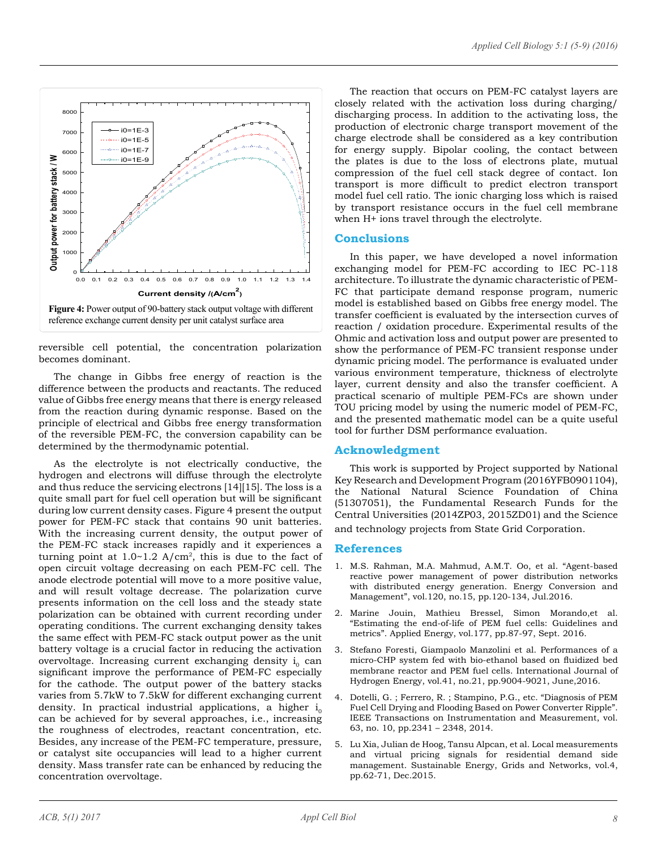

reversible cell potential, the concentration polarization becomes dominant.

The change in Gibbs free energy of reaction is the difference between the products and reactants. The reduced value of Gibbs free energy means that there is energy released from the reaction during dynamic response. Based on the principle of electrical and Gibbs free energy transformation of the reversible PEM-FC, the conversion capability can be determined by the thermodynamic potential.

As the electrolyte is not electrically conductive, the hydrogen and electrons will diffuse through the electrolyte and thus reduce the servicing electrons [14][15]. The loss is a quite small part for fuel cell operation but will be significant during low current density cases. Figure 4 present the output power for PEM-FC stack that contains 90 unit batteries. With the increasing current density, the output power of the PEM-FC stack increases rapidly and it experiences a turning point at  $1.0 - 1.2$  A/cm<sup>2</sup>, this is due to the fact of open circuit voltage decreasing on each PEM-FC cell. The anode electrode potential will move to a more positive value, and will result voltage decrease. The polarization curve presents information on the cell loss and the steady state polarization can be obtained with current recording under operating conditions. The current exchanging density takes the same effect with PEM-FC stack output power as the unit battery voltage is a crucial factor in reducing the activation overvoltage. Increasing current exchanging density  $i_0$  can significant improve the performance of PEM-FC especially for the cathode. The output power of the battery stacks varies from 5.7kW to 7.5kW for different exchanging current density. In practical industrial applications, a higher  $i_0$ can be achieved for by several approaches, i.e., increasing the roughness of electrodes, reactant concentration, etc. Besides, any increase of the PEM-FC temperature, pressure, or catalyst site occupancies will lead to a higher current density. Mass transfer rate can be enhanced by reducing the concentration overvoltage.

The reaction that occurs on PEM-FC catalyst layers are closely related with the activation loss during charging/ discharging process. In addition to the activating loss, the production of electronic charge transport movement of the charge electrode shall be considered as a key contribution for energy supply. Bipolar cooling, the contact between the plates is due to the loss of electrons plate, mutual compression of the fuel cell stack degree of contact. Ion transport is more difficult to predict electron transport model fuel cell ratio. The ionic charging loss which is raised by transport resistance occurs in the fuel cell membrane when H+ ions travel through the electrolyte.

### **Conclusions**

In this paper, we have developed a novel information exchanging model for PEM-FC according to IEC PC-118 architecture. To illustrate the dynamic characteristic of PEM-FC that participate demand response program, numeric model is established based on Gibbs free energy model. The transfer coefficient is evaluated by the intersection curves of reaction / oxidation procedure. Experimental results of the Ohmic and activation loss and output power are presented to show the performance of PEM-FC transient response under dynamic pricing model. The performance is evaluated under various environment temperature, thickness of electrolyte layer, current density and also the transfer coefficient. A practical scenario of multiple PEM-FCs are shown under TOU pricing model by using the numeric model of PEM-FC, and the presented mathematic model can be a quite useful tool for further DSM performance evaluation.

### **Acknowledgment**

This work is supported by Project supported by National Key Research and Development Program (2016YFB0901104), the National Natural Science Foundation of China (51307051), the Fundamental Research Funds for the Central Universities (2014ZP03, 2015ZD01) and the Science and technology projects from State Grid Corporation.

**References**

- 1. M.S. Rahman, M.A. Mahmud, A.M.T. Oo, et al. "Agent-based reactive power management of power distribution networks with distributed energy generation. Energy Conversion and Management", vol.120, no.15, pp.120-134, Jul.2016.
- 2. Marine Jouin, Mathieu Bressel, Simon Morando,et al. "Estimating the end-of-life of PEM fuel cells: Guidelines and metrics". Applied Energy, vol.177, pp.87-97, Sept. 2016.
- 3. Stefano Foresti, Giampaolo Manzolini et al. Performances of a micro-CHP system fed with bio-ethanol based on fluidized bed membrane reactor and PEM fuel cells. International Journal of Hydrogen Energy, vol.41, no.21, pp.9004-9021, June,2016.
- 4. Dotelli, G. ; Ferrero, R. ; Stampino, P.G., etc. "Diagnosis of PEM Fuel Cell Drying and Flooding Based on Power Converter Ripple". IEEE Transactions on Instrumentation and Measurement, vol. 63, no. 10, pp.2341 – 2348, 2014.
- 5. Lu Xia, Julian de Hoog, Tansu Alpcan, et al. Local measurements and virtual pricing signals for residential demand side management. Sustainable Energy, Grids and Networks, vol.4, pp.62-71, Dec.2015.